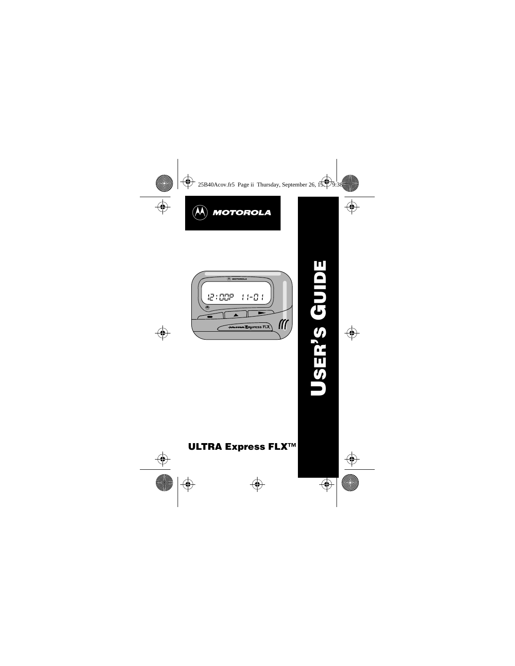



# **ULTRA Express FLX™**

**USER 'S GUIDE**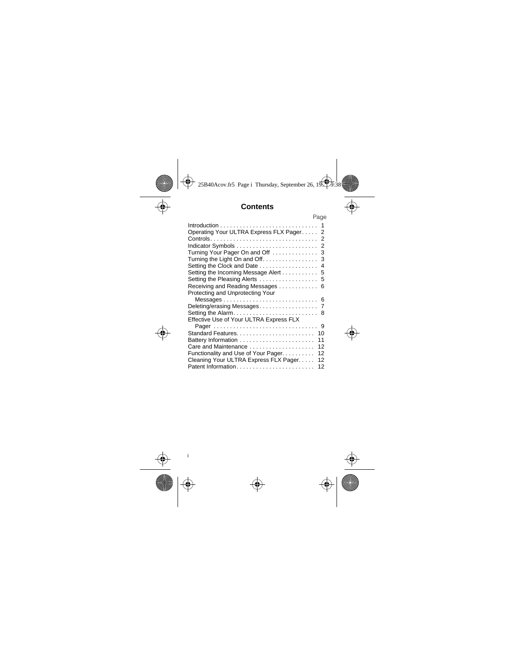# **Contents**

|                                                                  | Page |
|------------------------------------------------------------------|------|
|                                                                  |      |
| Operating Your ULTRA Express FLX Pager 2                         |      |
|                                                                  |      |
|                                                                  |      |
| Turning Your Pager On and Off  3                                 |      |
|                                                                  |      |
| Setting the Clock and Date 4                                     |      |
|                                                                  |      |
| Setting the Pleasing Alerts  5                                   |      |
|                                                                  |      |
| Receiving and Reading Messages 6                                 |      |
| Protecting and Unprotecting Your                                 |      |
|                                                                  |      |
|                                                                  |      |
|                                                                  |      |
| Effective Use of Your ULTRA Express FLX                          |      |
|                                                                  |      |
| Standard Features 10                                             |      |
| Battery Information                                              | 11   |
| Care and Maintenance $\ldots \ldots \ldots \ldots \ldots \ldots$ | 12   |
| Functionality and Use of Your Pager                              | 12   |
| Cleaning Your ULTRA Express FLX Pager                            | 12   |
|                                                                  | 12   |
|                                                                  |      |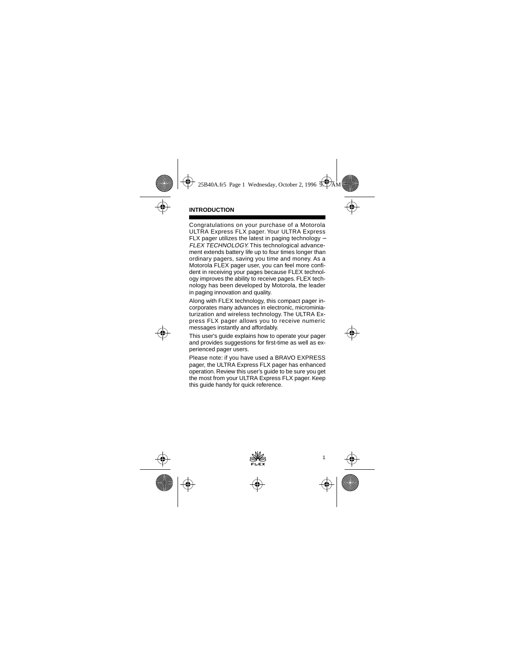Congratulations on your purchase of a Motorola ULTRA Express FLX pager. Your ULTRA Express FLX pager utilizes the latest in paging technology − FLEX TECHNOLOGY. This technological advancement extends battery life up to four times longer than ordinary pagers, saving you time and money. As a Motorola FLEX pager user, you can feel more confident in receiving your pages because FLEX technology improves the ability to receive pages. FLEX technology has been developed by Motorola, the leader in paging innovation and quality.

Along with FLEX technology, this compact pager incorporates many advances in electronic, microminiaturization and wireless technology. The ULTRA Express FLX pager allows you to receive numeric messages instantly and affordably.

This user's guide explains how to operate your pager and provides suggestions for first-time as well as experienced pager users.

Please note: if you have used a BRAVO EXPRESS pager, the ULTRA Express FLX pager has enhanced operation. Review this user's guide to be sure you get the most from your ULTRA Express FLX pager. Keep this guide handy for quick reference.

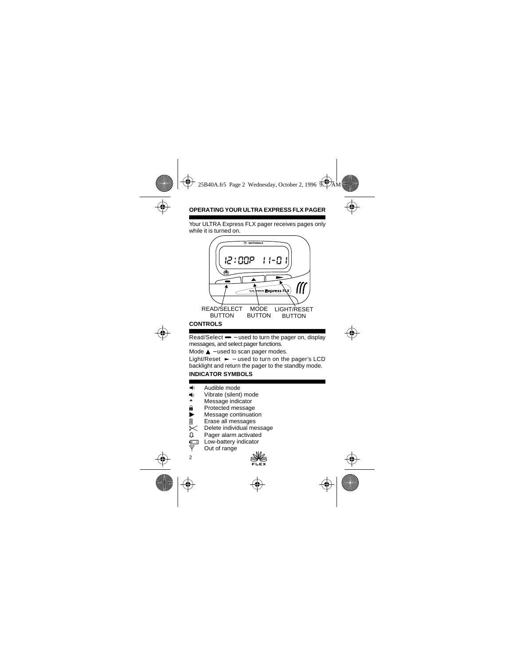# **OPERATING YOUR ULTRA EXPRESS FLX PAGER**

Your ULTRA Express FLX pager receives pages only while it is turned on.



Read/Select — – used to turn the pager on, display messages, and select pager functions.

Mode **▲** – used to scan pager modes.

Light/Reset ► – used to turn on the pager's LCD backlight and return the pager to the standby mode.

## **INDICATOR SYMBOLS**

- $\blacksquare$  Audible mode
- → Vibrate (silent) mode
- **A** Message indicator<br> **A** Protected message
- Protected message
- Message continuation<br>
Illectual messages
- **III** Erase all messages<br>
<del>○</del> Delete individual me
- Delete individual message
- Â Pager alarm activated
- **Fig.** Low-battery indicator  $\overline{Y}$  Out of range
	- Out of range

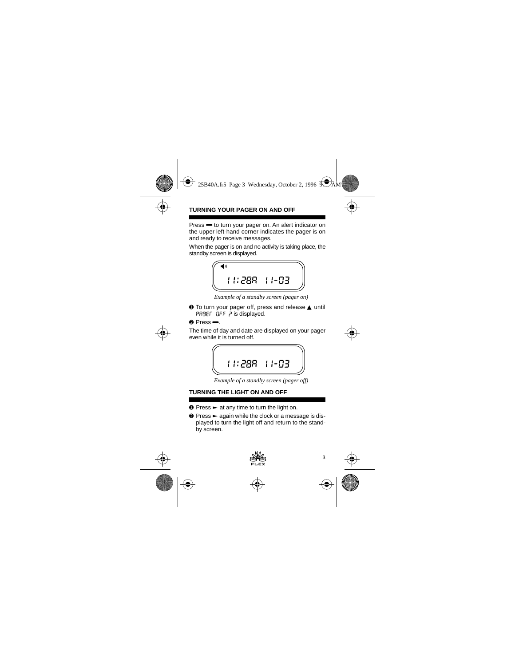## **TURNING YOUR PAGER ON AND OFF**

Press **—** to turn your pager on. An alert indicator on the upper left-hand corner indicates the pager is on and ready to receive messages.

When the pager is on and no activity is taking place, the standby screen is displayed.



*Example of a standby screen (pager on)*

➊ To turn your pager off, press and release ▲ until PRSEL OFF P is displayed.

 $\theta$  Press  $\blacksquare$ 

The time of day and date are displayed on your pager even while it is turned off.

$$
\begin{array}{|c|} \hline \hline 111:288 & 11-03 \\ \hline \end{array}
$$

*Example of a standby screen (pager off)*

# **TURNING THE LIGHT ON AND OFF**

- $\bullet$  Press  $\blacktriangleright$  at any time to turn the light on.
- $\odot$  Press  $\blacktriangleright$  again while the clock or a message is displayed to turn the light off and return to the standby screen.

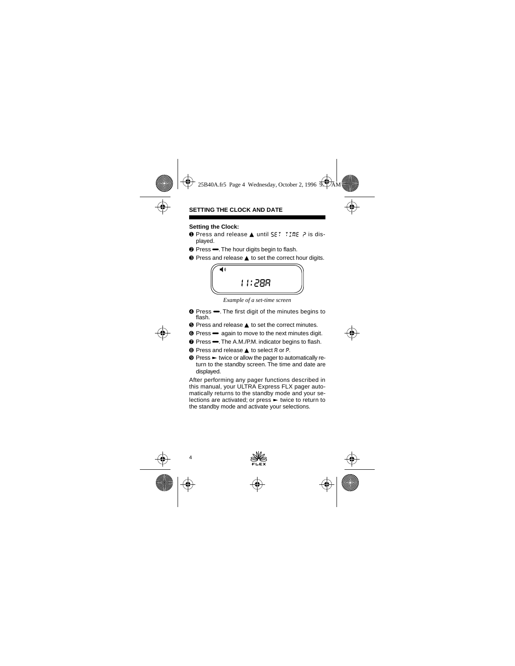## **SETTING THE CLOCK AND DATE**

## **Setting the Clock:**

- **O** Press and release ▲ until SET TIME P is displayed.
- **<sup>●</sup>** Press <del>→</del>. The hour digits begin to flash.
- ➌ Press and release ▲ to set the correct hour digits.



*Example of a set-time screen*

- **☉** Press  $\rightarrow$ . The first digit of the minutes begins to flash.
- ➎ Press and release ▲ to set the correct minutes.
- ➏ Press Ë again to move to the next minutes digit.
- $\odot$  Press  $\rightarrow$  The A.M./P.M. indicator begins to flash.
- ➑ Press and release ▲ to select a or p.
- $\odot$  Press  $\blacktriangleright$  twice or allow the pager to automatically return to the standby screen. The time and date are displayed.

After performing any pager functions described in this manual, your ULTRA Express FLX pager automatically returns to the standby mode and your selections are activated; or press  $\blacktriangleright$  twice to return to the standby mode and activate your selections.

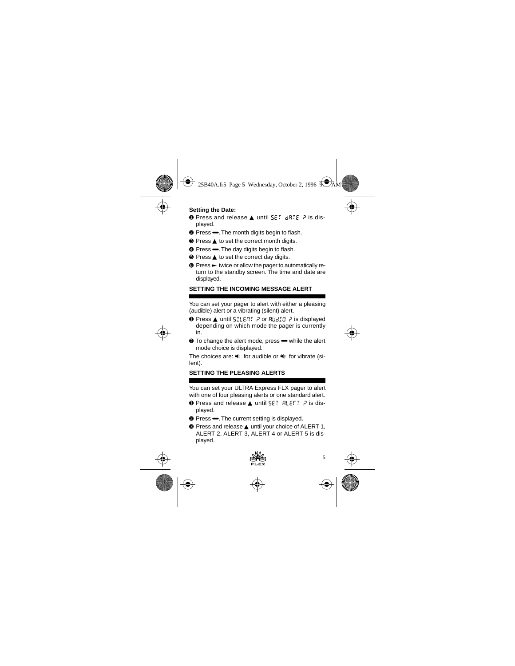## **Setting the Date:**

- **O** Press and release ▲ until SET dRTE P is displayed.
- <sup>●</sup> Press <sup>→</sup>. The month digits begin to flash.
- ➌ Press ▲ to set the correct month digits.
- **O** Press  $\rightarrow$  The day digits begin to flash.
- ➎ Press ▲ to set the correct day digits.
- **☉** Press ► twice or allow the pager to automatically return to the standby screen. The time and date are displayed.

## **SETTING THE INCOMING MESSAGE ALERT**

You can set your pager to alert with either a pleasing (audible) alert or a vibrating (silent) alert.

- **O** Press ▲ until 5ILENT P or RUdIO P is displayed depending on which mode the pager is currently in.
- To change the alert mode, press **■** while the alert mode choice is displayed.

The choices are:  $\blacktriangleleft$  for audible or  $\blacktriangleleft$  for vibrate (silent).

## **SETTING THE PLEASING ALERTS**

You can set your ULTRA Express FLX pager to alert with one of four pleasing alerts or one standard alert.

- **O** Press and release ▲ until SET RLEFT ? is displayed.
- <sup>●</sup> Press The current setting is displayed.

➌ Press and release ▲ until your choice of ALERT 1, ALERT 2, ALERT 3, ALERT 4 or ALERT 5 is displayed.

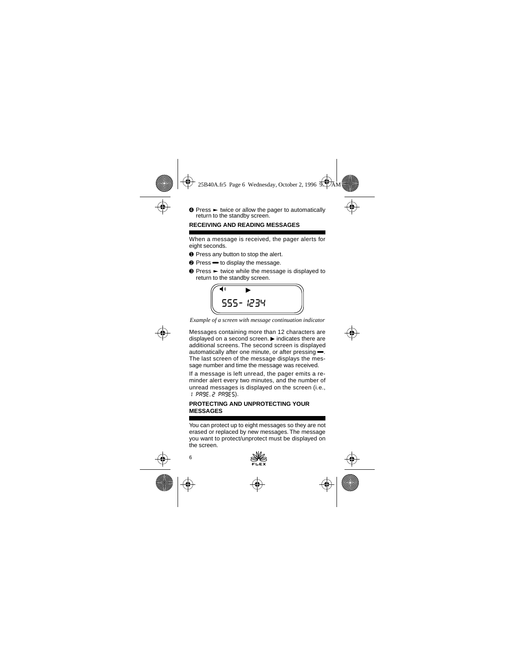$\odot$  Press  $\blacktriangleright$  twice or allow the pager to automatically return to the standby screen.

## **RECEIVING AND READING MESSAGES**

When a message is received, the pager alerts for eight seconds.

- **O** Press any button to stop the alert.
- Press **→** to display the message.
- $\odot$  Press  $\blacktriangleright$  twice while the message is displayed to return to the standby screen.



*Example of a screen with message continuation indicator*

Messages containing more than 12 characters are displayed on a second screen.  $\blacktriangleright$  indicates there are additional screens. The second screen is displayed automatically after one minute, or after pressing $\leftarrow$ . The last screen of the message displays the message number and time the message was received.

If a message is left unread, the pager emits a reminder alert every two minutes, and the number of unread messages is displayed on the screen (i.e., 1 page, 2 pages).

## **PROTECTING AND UNPROTECTING YOUR MESSAGES**

You can protect up to eight messages so they are not erased or replaced by new messages. The message you want to protect/unprotect must be displayed on the screen.

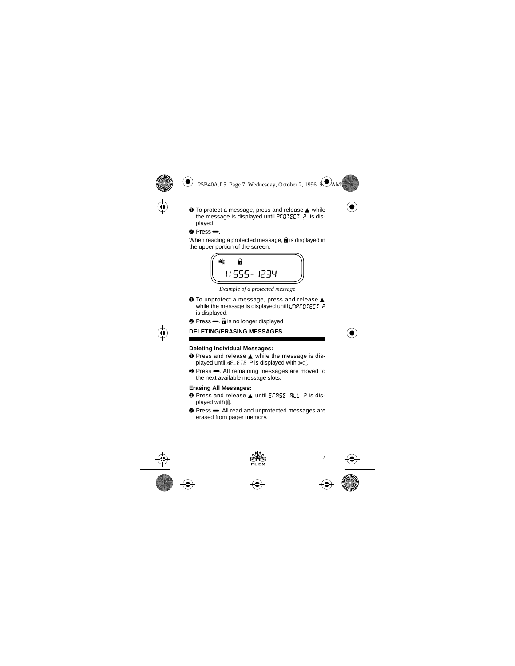- ➊ To protect a message, press and release ▲ while the message is displayed until PFDTELT  $\bar{P}$  is displayed.
- $\rho$  Press  $\blacktriangleright$

When reading a protected message,  $\hat{\mathbf{a}}$  is displayed in the upper portion of the screen.



*Example of a protected message*

- ➊ To unprotect a message, press and release ▲ while the message is displayed until  $\text{unpr}\,\text{unstr}\,$ ? is displayed.
- $\bullet$  Press  $\leftarrow$ .  $\bullet$  is no longer displayed

# **DELETING/ERASING MESSAGES**

## **Deleting Individual Messages:**

- ➊ Press and release ▲ while the message is displayed until  $dELETE$  ? is displayed with  $\leq$ .
- **<sup>●</sup>** Press <del>■</del>. All remaining messages are moved to the next available message slots.

## **Erasing All Messages:**

- **O** Press and release ▲ until EFR5E RLL P is displayed with  $\hat{m}$ .
- **<sup>●</sup>** Press **一**. All read and unprotected messages are erased from pager memory.

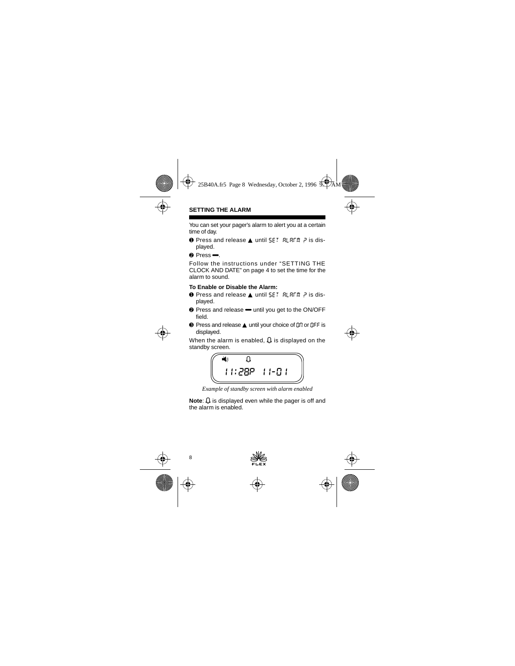## **SETTING THE ALARM**

You can set your pager's alarm to alert you at a certain time of day.

- **O** Press and release ▲ until SET RLRFM P is displayed.
- $\rho$  Press  $\blacktriangleright$

Follow the instructions under "SETTING THE CLOCK AND DATE" on page 4 to set the time for the alarm to sound.

#### **To Enable or Disable the Alarm:**

- **O** Press and release ▲ until SET RLRFm P is displayed.
- Press and release <del>■</del> until you get to the ON/OFF field.
- **■** Press and release ▲ until your choice of nn or nFF is displayed.

When the alarm is enabled,  $\Omega$  is displayed on the standby screen.



*Example of standby screen with alarm enabled*

**Note:**  $\Omega$  is displayed even while the pager is off and the alarm is enabled.

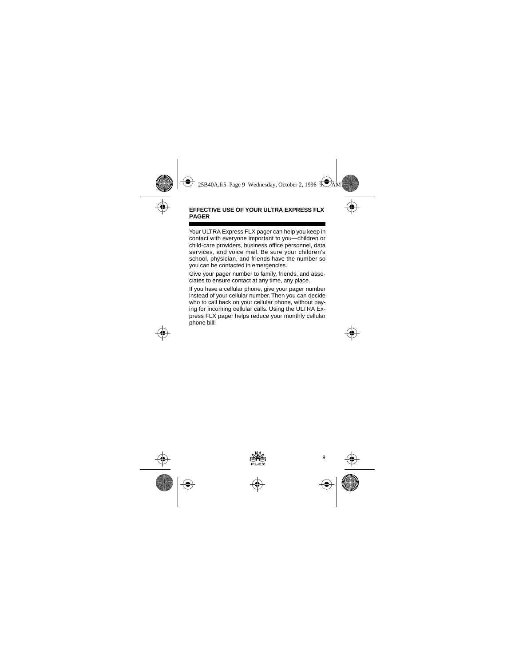#### **EFFECTIVE USE OF YOUR ULTRA EXPRESS FLX PAGER**

Your ULTRA Express FLX pager can help you keep in contact with everyone important to you—children or child-care providers, business office personnel, data services, and voice mail. Be sure your children's school, physician, and friends have the number so you can be contacted in emergencies.

Give your pager number to family, friends, and associates to ensure contact at any time, any place.

If you have a cellular phone, give your pager number instead of your cellular number. Then you can decide who to call back on your cellular phone, without paying for incoming cellular calls. Using the ULTRA Express FLX pager helps reduce your monthly cellular phone bill!

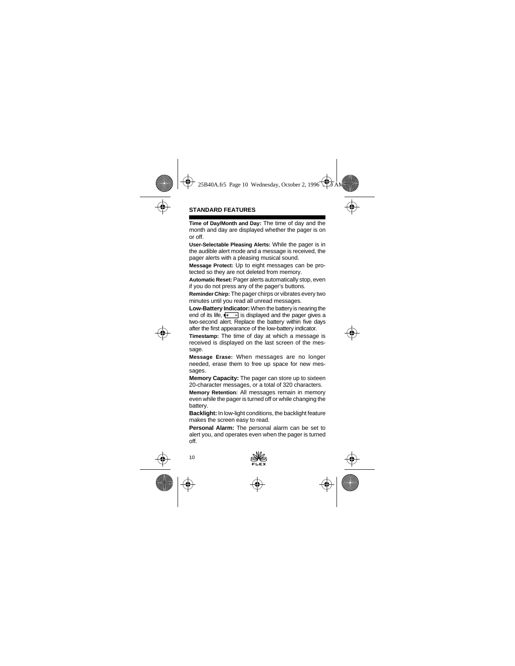**Time of Day/Month and Day:** The time of day and the month and day are displayed whether the pager is on or off.

**User-Selectable Pleasing Alerts:** While the pager is in the audible alert mode and a message is received, the pager alerts with a pleasing musical sound.

**Message Protect:** Up to eight messages can be protected so they are not deleted from memory.

**Automatic Reset:** Pager alerts automatically stop, even if you do not press any of the pager's buttons.

**Reminder Chirp:** The pager chirps or vibrates every two minutes until you read all unread messages.

**Low-Battery Indicator:** When the battery is nearing the end of its life,  $\left| \frac{+}{-} \right|$  is displayed and the pager gives a two-second alert. Replace the battery within five days after the first appearance of the low-battery indicator.

**Timestamp:** The time of day at which a message is received is displayed on the last screen of the message.

**Message Erase:** When messages are no longer needed, erase them to free up space for new messages.

**Memory Capacity:** The pager can store up to sixteen 20-character messages, or a total of 320 characters.

**Memory Retention:** All messages remain in memory even while the pager is turned off or while changing the battery.

**Backlight:** In low-light conditions, the backlight feature makes the screen easy to read.

**Personal Alarm:** The personal alarm can be set to alert you, and operates even when the pager is turned off.

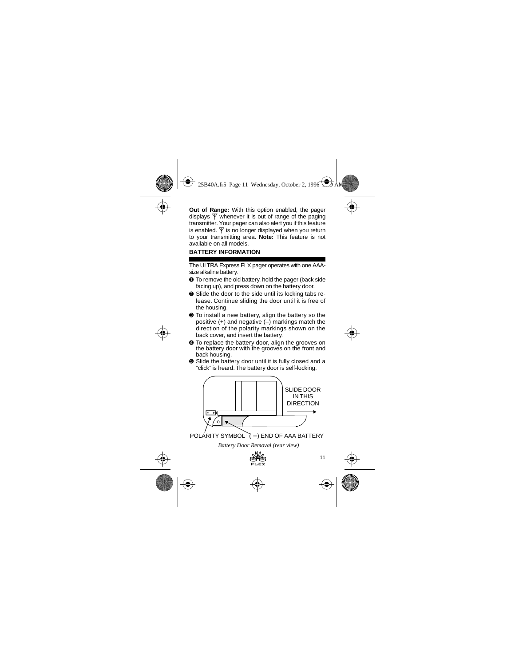**Out of Range:** With this option enabled, the pager displays  $\nabla$  whenever it is out of range of the paging transmitter. Your pager can also alert you if this feature is enabled.  $\Psi$  is no longer displayed when you return to your transmitting area. **Note:** This feature is not available on all models.

## **BATTERY INFORMATION**

The ULTRA Express FLX pager operates with one AAAsize alkaline battery.

- ➊ To remove the old battery, hold the pager (back side facing up), and press down on the battery door.
- ➋ Slide the door to the side until its locking tabs release. Continue sliding the door until it is free of the housing.
- ➌ To install a new battery, align the battery so the positive  $(+)$  and negative  $(-)$  markings match the direction of the polarity markings shown on the back cover, and insert the battery.
- ➍ To replace the battery door, align the grooves on the battery door with the grooves on the front and back housing.
- ➎ Slide the battery door until it is fully closed and a "click" is heard. The battery door is self-locking.



POLARITY SYMBOL (-) END OF AAA BATTERY

*Battery Door Removal (rear view)*

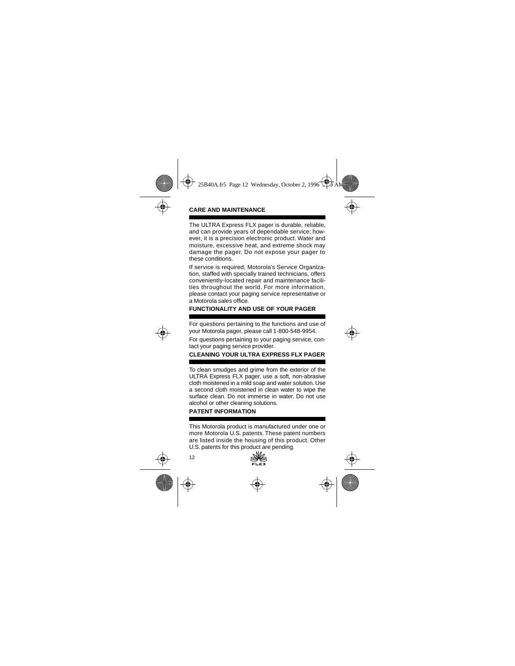## **CARE AND MAINTENANCE**

The ULTRA Express FLX pager is durable, reliable, and can provide years of dependable service; however, it is a precision electronic product. Water and moisture, excessive heat, and extreme shock may damage the pager. Do not expose your pager to these conditions.

If service is required, Motorola's Service Organization, staffed with specially trained technicians, offers conveniently-located repair and maintenance facilities throughout the world. For more information, please contact your paging service representative or a Motorola sales office.

# **FUNCTIONALITY AND USE OF YOUR PAGER**

For questions pertaining to the functions and use of your Motorola pager, please call 1-800-548-9954.

For questions pertaining to your paging service, contact your paging service provider.

# **CLEANING YOUR ULTRA EXPRESS FLX PAGER**

To clean smudges and grime from the exterior of the ULTRA Express FLX pager, use a soft, non-abrasive cloth moistened in a mild soap and water solution. Use a second cloth moistened in clean water to wipe the surface clean. Do not immerse in water. Do not use alcohol or other cleaning solutions.

## **PATENT INFORMATION**

This Motorola product is manufactured under one or more Motorola U.S. patents. These patent numbers are listed inside the housing of this product. Other U.S. patents for this product are pending.

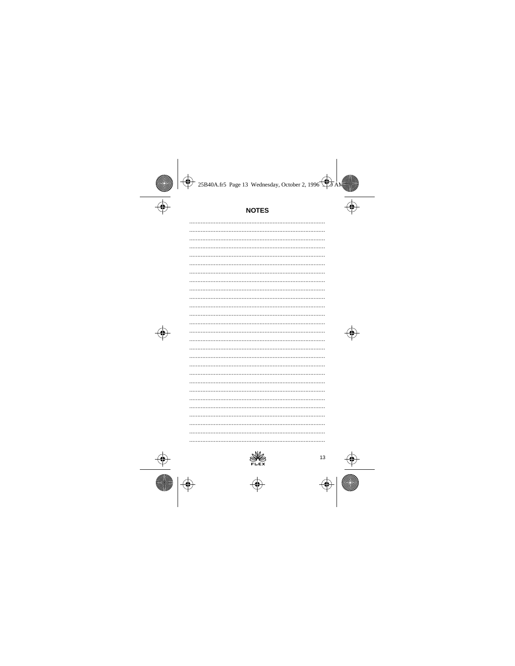# **NOTES**